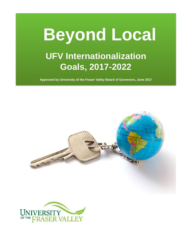

**Approved by University of the Fraser Valley Board of Governors, June 2017**



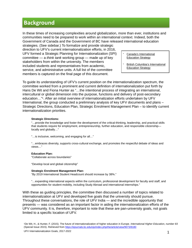## **Background**

In these times of increasing complexities around globalization, more than ever, institutions and communities need to be prepared to work within an international context. Indeed, both the Government of Canada and the Government of BC have released international education

strategies. (See sidebar.) To formalize and provide strategic direction to UFV's current internationalization efforts, in 2016, UFV formed a Strategic Planning for Internationalization (SPI) committee — a *think tank* working group — made up of key stakeholders from within the university. The members included students and representatives from academic, service, and administrative units. A full list of the committee members is captured on the final page of this document.

Canada's International [Education Strategy](http://international.gc.ca/global-markets-marches-mondiaux/education/strategy-strategie.aspx?lang=eng)

British Columbia's International [Education Strategy](http://www2.gov.bc.ca/assets/gov/education/post-secondary-education/international-education/internationaleducationstrategy_web.pdf)

To guide its understanding of UFV's current position on the internationalization spectrum, the committee worked from a prominent and current definition of internationalization put forth by Hans De Wit and Fiona Hunter as "…the intentional process of integrating an international, intercultural or global dimension into the purpose, functions and delivery of post-secondary education…"1. After an initial overview of internationalization efforts undertaken by UFV International, the group conducted a preliminary analysis of key UFV documents and plans – Strategic Directions, Education Plan, Strategic Enrolment Management Plan – to identify current internationalization priorities.

#### **Strategic Directions:**

"…provide the knowledge and foster the development of the critical-thinking, leadership, and practical skills that students require for employment, entrepreneurship, further education, and responsible citizenship locally and globally…"

"…is inclusive, welcoming, and engaging for all…"

"…embraces diversity, supports cross-cultural exchange, and promotes the respectful debate of ideas and views…"

#### **Education Plan:**

"Collaborate across boundaries"

"Develop local and global citizenship"

#### **Strategic Enrolment Management Plan:**

"By 2019 International Student Headcount should increase by 38%."

 "…expanding international aspects within the curriculum, professional development for faculty and staff, and opportunities for student mobility, including Study Abroad and international internships."

With these as guiding principles, the committee then discussed a number of topics related to internationalization at UFV and developed five goals that the university should pursue. Throughout these conversations, the role of UFV India — and the incredible opportunity that presents — was considered as an important factor in aiding the internationalization efforts of the UFV community. It is, therefore, important to note that these are pan-university goals, not goals limited to a specific location of UFV.

1De Wit, H., & Hunter, F. (2015). The future of internationalization of higher education in Europe. *International Higher Education, number 83*  (Special Issue 2015). Retrieved from<https://ejournals.bc.edu/ojs/index.php/ihe/article/view/9073/8180>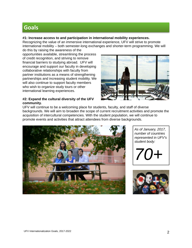# **Goals**

### **#1: Increase access to and participation in international mobility experiences.**

Recognizing the value of an immersive international experience, UFV will strive to promote international mobility – both semester-long exchanges and shorter-term programming. We will

do this by raising the awareness of the opportunities available, streamlining the process of credit recognition, and striving to remove financial barriers to studying abroad. UFV will encourage and support our faculty in developing collaborative relationships with faculty from partner institutions as a means of strengthening partnerships and increasing student mobility. We will also continue to support faculty members who wish to organize study tours or other international learning experiences.

### **#2: Expand the cultural diversity of the UFV community.**



UFV will continue to be a welcoming place for students, faculty, and staff of diverse backgrounds. We will aim to broaden the scope of current recruitment activities and promote the acquisition of intercultural competencies. With the student population, we will continue to promote events and activities that attract attendees from diverse backgrounds.



*As of January, 2017, number of countries represented in UFV's student body:*



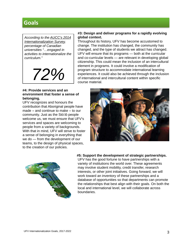## **Goals**

*[According to the AUCC's 2014](https://www.univcan.ca/wp-content/uploads/2015/07/internationalization-survey-2014.pdf)  [Internationalization Survey,](https://www.univcan.ca/wp-content/uploads/2015/07/internationalization-survey-2014.pdf) percentage of Canadian universities "…engaged in activities to internationalize the curriculum."*

*72%*

#### **#3: Design and deliver programs for a rapidly evolving global context.**

Throughout its history, UFV has become accustomed to change. The institution has changed, the community has changed, and the type of students we attract has changed. UFV will ensure that its programs — both at the curricular and co-curricular levels — are relevant in developing global citizenship. This could mean the inclusion of an intercultural element in programs. It could involve a modification of program structure to accommodate international learning experiences. It could also be achieved through the inclusion of international and intercultural content within specific course material.

### **#4: Provide services and an environment that foster a sense of belonging.**

UFV recognizes and honours the contribution that Aboriginal people have made − and continue to make − to our community. Just as the Stó:lō people welcome us, we must ensure that UFV's services and spaces are welcoming to people from a variety of backgrounds. With that in mind, UFV will strive to foster a sense of belonging in everything that we do — from the development of our teams, to the design of physical spaces, to the creation of our policies.





#### **#5: Support the development of strategic partnerships.**

UFV has the good fortune to have partnerships with a variety of institutions the world over. These agreements may involve student mobility, credit transfer, research interests, or other joint initiatives. Going forward, we will work toward an inventory of these partnerships and a database of opportunities so that departments can promote the relationships that best align with their goals. On both the local and international level, we will collaborate across boundaries.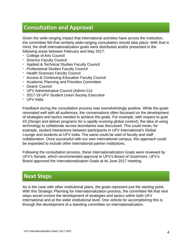# **Consultation and Approval**

Given the wide-ranging impact that international activities have across the institution, the committee felt that similarly wide-ranging consultation should take place. With that in mind, the draft internationalization goals were distributed and/or presented in the following areas between February and May 2017:

- College of Arts Council
- Science Faculty Council
- Applied & Technical Studies Faculty Council
- Professional Studies Faculty Council
- Health Sciences Faculty Council
- Access & Continuing Education Faculty Council
- Academic Planning and Priorities Committee
- Deans' Council
- UFV Administrative Council (Admin-Co)
- 2017-18 UFV Student Union Society Executive
- UFV India

Feedback during the consultation process was overwhelmingly positive. While the goals resonated well with all audiences, the conversations often focussed on the development of strategies and tactics needed to achieve the goals. For example, with respect to goal #3 (*Design and deliver programs for a rapidly evolving global context*), the idea of using technology to collaborate across boundaries was discussed. This could mean, for example, student interactions between participants in UFV International's Global Lounge and students at UFV India. The same could be said of faculty and staff collaboration. Once successful with our own international campus, this approach could be expanded to include other international partner institutions.

Following the consultation process, these Internationalization Goals were reviewed by UFV's Senate, which recommended approval to UFV's Board of Governors. UFV's Board approved the Internationalization Goals at its June 2017 meeting.

## **Next Steps**

As is the case with other institutional plans, the goals represent just the starting point. With this Strategic Planning for Internationalization process, the committee felt that next steps would involve the development of strategies and tactics within both UFV International and at the wider institutional level. One vehicle for accomplishing this is through the development of a standing committee on internationalization.